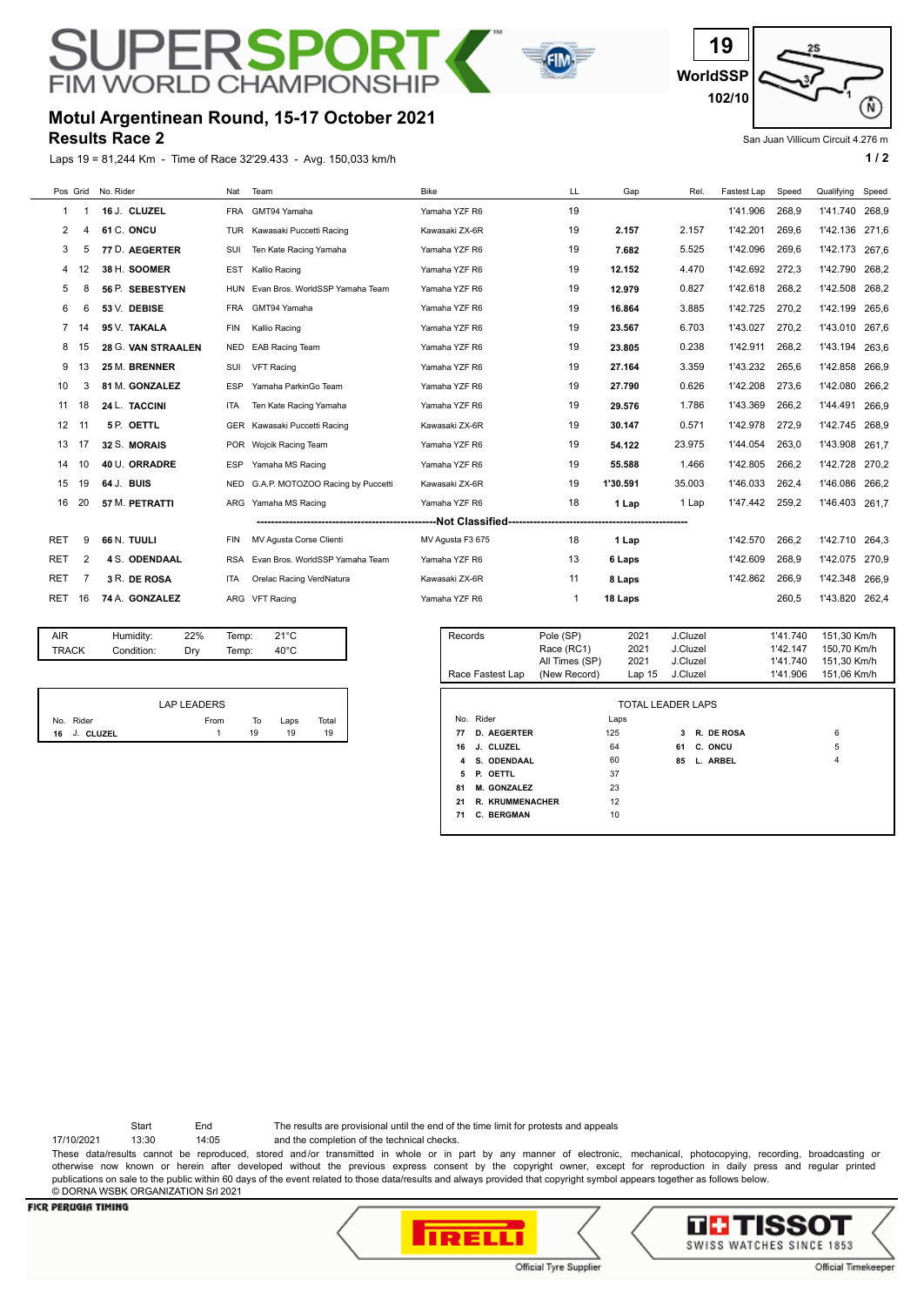# JPE **RSPO FIM WORLD CHAMPION**





### **Results Race 2 Motul Argentinean Round, 15-17 October 2021**

Laps 19 = 81,244 Km - Time of Race 32'29.433 - Avg. 150,033 km/h **1 and 2 1 and 2 1 a 1 a 1 a 1 a 1 a 1 a 1 a 1 a 1 a 1 a 1 a 1 a 1 a 1 a 1 a 1 a 1 a 1 a 1 a 1 a 1 a 1 a 1 a** 

San Juan Villicum Circuit 4.276 m

| Pos Grid   |     | No. Rider            | Nat        | Team                              | <b>Bike</b>      | LL | Gap      | Rel.   | Fastest Lap | Speed | Qualifying | Speed |
|------------|-----|----------------------|------------|-----------------------------------|------------------|----|----------|--------|-------------|-------|------------|-------|
| 1          |     | 16 J. CLUZEL         | FRA        | GMT94 Yamaha                      | Yamaha YZF R6    | 19 |          |        | 1'41.906    | 268,9 | 1'41.740   | 268,9 |
| 2          | 4   | 61 C. ONCU           | TUR        | Kawasaki Puccetti Racing          | Kawasaki ZX-6R   | 19 | 2.157    | 2.157  | 1'42.201    | 269,6 | 1'42.136   | 271,6 |
| 3          | 5   | 77 D. AEGERTER       | SUI        | Ten Kate Racing Yamaha            | Yamaha YZF R6    | 19 | 7.682    | 5.525  | 1'42.096    | 269,6 | 1'42.173   | 267,6 |
|            | 12  | 38 H. SOOMER         | <b>EST</b> | Kallio Racing                     | Yamaha YZF R6    | 19 | 12.152   | 4.470  | 1'42.692    | 272,3 | 1'42.790   | 268,2 |
| 5          | 8   | 56 P. SEBESTYEN      | <b>HUN</b> | Evan Bros, WorldSSP Yamaha Team   | Yamaha YZF R6    | 19 | 12.979   | 0.827  | 1'42.618    | 268,2 | 1'42.508   | 268,2 |
| 6          | 6   | 53 V. DEBISE         | <b>FRA</b> | GMT94 Yamaha                      | Yamaha YZF R6    | 19 | 16.864   | 3.885  | 1'42.725    | 270,2 | 1'42.199   | 265,6 |
|            | -14 | 95 V. TAKALA         | <b>FIN</b> | Kallio Racing                     | Yamaha YZF R6    | 19 | 23.567   | 6.703  | 1'43.027    | 270,2 | 1'43.010   | 267,6 |
|            | 15  | 28 G. VAN STRAALEN   | <b>NED</b> | <b>EAB Racing Team</b>            | Yamaha YZF R6    | 19 | 23.805   | 0.238  | 1'42.911    | 268,2 | 1'43.194   | 263.6 |
| 9          | 13  | 25 M. BRENNER        | SUI        | <b>VFT Racing</b>                 | Yamaha YZF R6    | 19 | 27.164   | 3.359  | 1'43.232    | 265.6 | 1'42.858   | 266.9 |
| 10         | 3   | 81 M. GONZALEZ       | <b>ESP</b> | Yamaha ParkinGo Team              | Yamaha YZF R6    | 19 | 27.790   | 0.626  | 1'42.208    | 273,6 | 1'42.080   | 266,2 |
| 11         | 18  | 24 L. TACCINI        | <b>ITA</b> | Ten Kate Racing Yamaha            | Yamaha YZF R6    | 19 | 29.576   | 1.786  | 1'43.369    | 266.2 | 1'44.491   | 266.9 |
| 12         | 11  | 5 P. OETTL           |            | GER Kawasaki Puccetti Racing      | Kawasaki ZX-6R   | 19 | 30.147   | 0.571  | 1'42.978    | 272.9 | 1'42.745   | 268.9 |
| 13         | 17  | 32 S. MORAIS         | <b>POR</b> | Wojcik Racing Team                | Yamaha YZF R6    | 19 | 54.122   | 23.975 | 1'44.054    | 263,0 | 1'43.908   | 261,7 |
| 14         | 10  | 40 U. ORRADRE        | <b>ESP</b> | Yamaha MS Racing                  | Yamaha YZF R6    | 19 | 55.588   | 1.466  | 1'42.805    | 266,2 | 1'42.728   | 270,2 |
| 15         | 19  | 64 J. BUIS           | <b>NED</b> | G.A.P. MOTOZOO Racing by Puccetti | Kawasaki ZX-6R   | 19 | 1'30.591 | 35.003 | 1'46.033    | 262,4 | 1'46.086   | 266,2 |
| 16         | 20  | 57 M. PETRATTI       | ARG        | Yamaha MS Racing                  | Yamaha YZF R6    | 18 | 1 Lap    | 1 Lap  | 1'47.442    | 259,2 | 1'46.403   | 261.7 |
|            |     |                      |            |                                   |                  |    |          |        |             |       |            |       |
| <b>RET</b> | 9   | 66 N. TUULI          | <b>FIN</b> | MV Agusta Corse Clienti           | MV Agusta F3 675 | 18 | 1 Lap    |        | 1'42.570    | 266.2 | 1'42.710   | 264,3 |
| <b>RET</b> | 2   | <b>4 S. ODENDAAL</b> | <b>RSA</b> | Evan Bros, WorldSSP Yamaha Team   | Yamaha YZF R6    | 13 | 6 Laps   |        | 1'42.609    | 268,9 | 1'42.075   | 270,9 |
| RET        | -7  | 3 R. DE ROSA         | ITA        | Orelac Racing VerdNatura          | Kawasaki ZX-6R   | 11 | 8 Laps   |        | 1'42.862    | 266,9 | 1'42.348   | 266,9 |
| RET        | 16  | 74 A. GONZALEZ       |            | ARG VFT Racing                    | Yamaha YZF R6    |    | 18 Laps  |        |             | 260,5 | 1'43.820   | 262,4 |

| AIR   | Humidity:  | 22% | Temp: | $21^{\circ}$ C |  |
|-------|------------|-----|-------|----------------|--|
| TRACK | Condition: | Dry | Temp: | $40^{\circ}$ C |  |
|       |            |     |       |                |  |

| LAP LEADERS     |      |    |      |       |  |  |  |  |  |
|-----------------|------|----|------|-------|--|--|--|--|--|
| No. Rider       | From | To | Laps | Total |  |  |  |  |  |
| J. CLUZEL<br>16 |      | 19 | 19   | 19    |  |  |  |  |  |

| Records<br>Race Fastest Lap  | Pole (SP)<br>Race (RC1)<br>All Times (SP)<br>(New Record) | 2021<br>2021<br>2021<br>Lap <sub>15</sub> | J.Cluzel<br>J.Cluzel<br>J.Cluzel<br>J.Cluzel |            | 1'41.740<br>1'42.147<br>1'41.740<br>1'41.906 | 151.30 Km/h<br>150,70 Km/h<br>151.30 Km/h<br>151,06 Km/h |  |  |
|------------------------------|-----------------------------------------------------------|-------------------------------------------|----------------------------------------------|------------|----------------------------------------------|----------------------------------------------------------|--|--|
| TOTAL LEADER LAPS            |                                                           |                                           |                                              |            |                                              |                                                          |  |  |
| No. Rider                    | Laps                                                      |                                           |                                              |            |                                              |                                                          |  |  |
| <b>D. AEGERTER</b><br>77     | 125                                                       |                                           | 3                                            | R. DE ROSA |                                              | 6                                                        |  |  |
| J. CLUZEL<br>16              | 64                                                        |                                           | 61                                           | C. ONCU    |                                              | 5                                                        |  |  |
| S. ODENDAAL<br>4             | 60                                                        |                                           | 85                                           | L. ARBEL   |                                              | 4                                                        |  |  |
| P. OETTL<br>5                | 37                                                        |                                           |                                              |            |                                              |                                                          |  |  |
| M. GONZALEZ<br>81            | 23                                                        |                                           |                                              |            |                                              |                                                          |  |  |
| <b>R. KRUMMENACHER</b><br>21 | 12                                                        |                                           |                                              |            |                                              |                                                          |  |  |
| <b>C. BERGMAN</b><br>71      | 10                                                        |                                           |                                              |            |                                              |                                                          |  |  |

Start End The results are provisional until the end of the time limit for protests and appeals

17/10/2021 13:30 14:05 and the completion of the technical checks.

These data/results cannot be reproduced, stored and/or transmitted in whole or in part by any manner of electronic, mechanical, photocopying, recording, broadcasting or otherwise now known or herein after developed without the previous express consent by the copyright owner, except for reproduction in daily press and regular printed publications on sale to the public within 60 days of the event related to those data/results and always provided that copyright symbol appears together as follows below. © DORNA WSBK ORGANIZATION Srl 2021

#### **FICR PERUGIA TIMING**